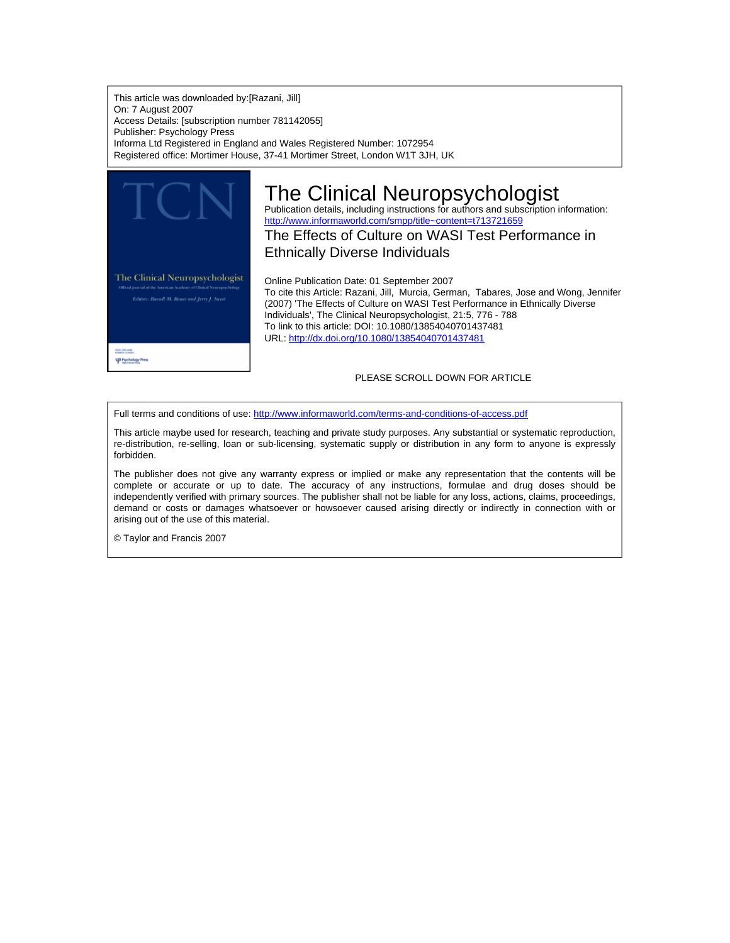This article was downloaded by:[Razani, Jill] On: 7 August 2007 Access Details: [subscription number 781142055] Publisher: Psychology Press Informa Ltd Registered in England and Wales Registered Number: 1072954 Registered office: Mortimer House, 37-41 Mortimer Street, London W1T 3JH, UK



# The Clinical Neuropsychologist

Publication details, including instructions for authors and subscription information: <http://www.informaworld.com/smpp/title~content=t713721659>

The Effects of Culture on WASI Test Performance in Ethnically Diverse Individuals

Online Publication Date: 01 September 2007 To cite this Article: Razani, Jill, Murcia, German, Tabares, Jose and Wong, Jennifer (2007) 'The Effects of Culture on WASI Test Performance in Ethnically Diverse Individuals', The Clinical Neuropsychologist, 21:5, 776 - 788 To link to this article: DOI: 10.1080/13854040701437481 URL: <http://dx.doi.org/10.1080/13854040701437481>

## PLEASE SCROLL DOWN FOR ARTICLE

Full terms and conditions of use: <http://www.informaworld.com/terms-and-conditions-of-access.pdf>

This article maybe used for research, teaching and private study purposes. Any substantial or systematic reproduction, re-distribution, re-selling, loan or sub-licensing, systematic supply or distribution in any form to anyone is expressly forbidden.

The publisher does not give any warranty express or implied or make any representation that the contents will be complete or accurate or up to date. The accuracy of any instructions, formulae and drug doses should be independently verified with primary sources. The publisher shall not be liable for any loss, actions, claims, proceedings, demand or costs or damages whatsoever or howsoever caused arising directly or indirectly in connection with or arising out of the use of this material.

© Taylor and Francis 2007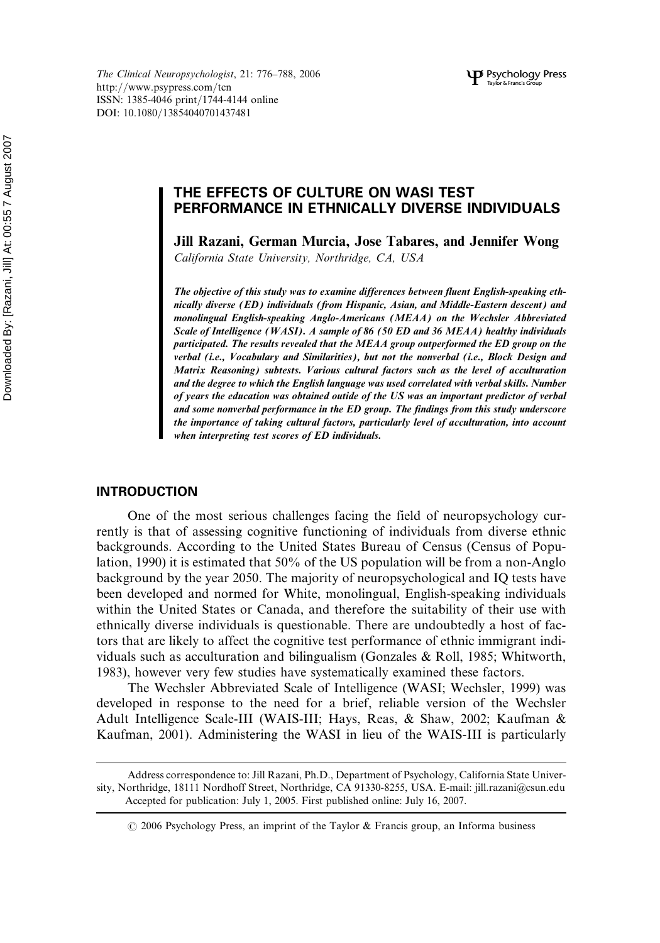The Clinical Neuropsychologist, 21: 776–788, 2006 http://www.psypress.com/tcn ISSN: 1385-4046 print/1744-4144 online DOI: 10.1080/13854040701437481

# THE EFFECTS OF CULTURE ON WASI TEST PERFORMANCE IN ETHNICALLY DIVERSE INDIVIDUALS

Jill Razani, German Murcia, Jose Tabares, and Jennifer Wong

California State University, Northridge, CA, USA

The objective of this study was to examine differences between fluent English-speaking ethnically diverse (ED) individuals (from Hispanic, Asian, and Middle-Eastern descent) and monolingual English-speaking Anglo-Americans (MEAA) on the Wechsler Abbreviated Scale of Intelligence (WASI). A sample of 86 (50 ED and 36 MEAA) healthy individuals participated. The results revealed that the MEAA group outperformed the ED group on the verbal (i.e., Vocabulary and Similarities), but not the nonverbal (i.e., Block Design and Matrix Reasoning) subtests. Various cultural factors such as the level of acculturation and the degree to which the English language was used correlated with verbal skills. Number of years the education was obtained outide of the US was an important predictor of verbal and some nonverbal performance in the ED group. The findings from this study underscore the importance of taking cultural factors, particularly level of acculturation, into account when interpreting test scores of ED individuals.

#### INTRODUCTION

One of the most serious challenges facing the field of neuropsychology currently is that of assessing cognitive functioning of individuals from diverse ethnic backgrounds. According to the United States Bureau of Census (Census of Population, 1990) it is estimated that 50% of the US population will be from a non-Anglo background by the year 2050. The majority of neuropsychological and IQ tests have been developed and normed for White, monolingual, English-speaking individuals within the United States or Canada, and therefore the suitability of their use with ethnically diverse individuals is questionable. There are undoubtedly a host of factors that are likely to affect the cognitive test performance of ethnic immigrant individuals such as acculturation and bilingualism (Gonzales & Roll, 1985; Whitworth, 1983), however very few studies have systematically examined these factors.

The Wechsler Abbreviated Scale of Intelligence (WASI; Wechsler, 1999) was developed in response to the need for a brief, reliable version of the Wechsler Adult Intelligence Scale-III (WAIS-III; Hays, Reas, & Shaw, 2002; Kaufman & Kaufman, 2001). Administering the WASI in lieu of the WAIS-III is particularly

Address correspondence to: Jill Razani, Ph.D., Department of Psychology, California State University, Northridge, 18111 Nordhoff Street, Northridge, CA 91330-8255, USA. E-mail: jill.razani@csun.edu Accepted for publication: July 1, 2005. First published online: July 16, 2007.

*<sup>#</sup>* 2006 Psychology Press, an imprint of the Taylor & Francis group, an Informa business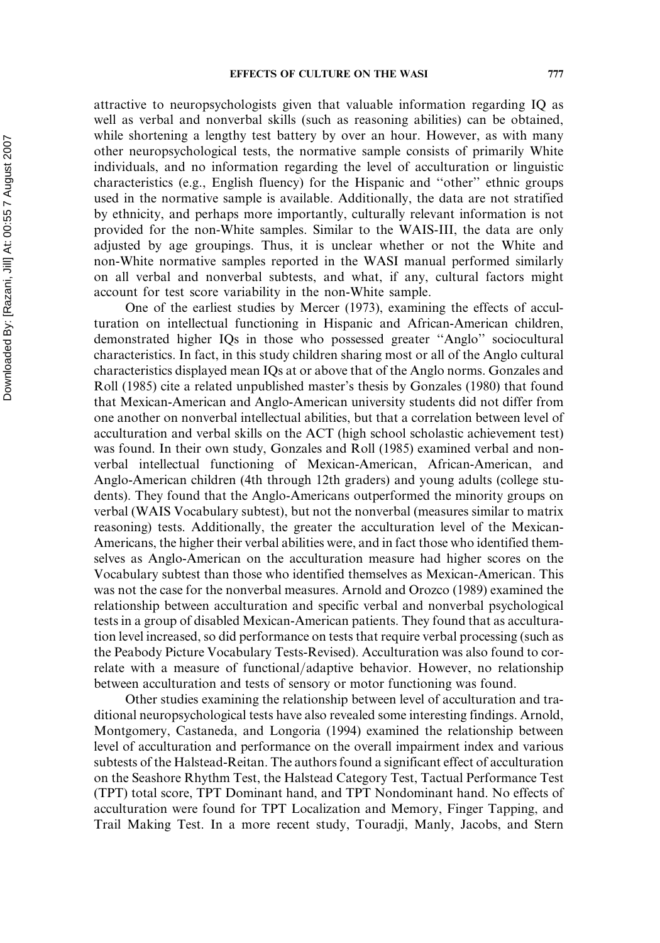attractive to neuropsychologists given that valuable information regarding IQ as well as verbal and nonverbal skills (such as reasoning abilities) can be obtained, while shortening a lengthy test battery by over an hour. However, as with many other neuropsychological tests, the normative sample consists of primarily White individuals, and no information regarding the level of acculturation or linguistic characteristics (e.g., English fluency) for the Hispanic and ''other'' ethnic groups used in the normative sample is available. Additionally, the data are not stratified by ethnicity, and perhaps more importantly, culturally relevant information is not provided for the non-White samples. Similar to the WAIS-III, the data are only adjusted by age groupings. Thus, it is unclear whether or not the White and non-White normative samples reported in the WASI manual performed similarly on all verbal and nonverbal subtests, and what, if any, cultural factors might account for test score variability in the non-White sample.

One of the earliest studies by Mercer (1973), examining the effects of acculturation on intellectual functioning in Hispanic and African-American children, demonstrated higher IQs in those who possessed greater ''Anglo'' sociocultural characteristics. In fact, in this study children sharing most or all of the Anglo cultural characteristics displayed mean IQs at or above that of the Anglo norms. Gonzales and Roll (1985) cite a related unpublished master's thesis by Gonzales (1980) that found that Mexican-American and Anglo-American university students did not differ from one another on nonverbal intellectual abilities, but that a correlation between level of acculturation and verbal skills on the ACT (high school scholastic achievement test) was found. In their own study, Gonzales and Roll (1985) examined verbal and nonverbal intellectual functioning of Mexican-American, African-American, and Anglo-American children (4th through 12th graders) and young adults (college students). They found that the Anglo-Americans outperformed the minority groups on verbal (WAIS Vocabulary subtest), but not the nonverbal (measures similar to matrix reasoning) tests. Additionally, the greater the acculturation level of the Mexican-Americans, the higher their verbal abilities were, and in fact those who identified themselves as Anglo-American on the acculturation measure had higher scores on the Vocabulary subtest than those who identified themselves as Mexican-American. This was not the case for the nonverbal measures. Arnold and Orozco (1989) examined the relationship between acculturation and specific verbal and nonverbal psychological tests in a group of disabled Mexican-American patients. They found that as acculturation level increased, so did performance on tests that require verbal processing (such as the Peabody Picture Vocabulary Tests-Revised). Acculturation was also found to correlate with a measure of functional/adaptive behavior. However, no relationship between acculturation and tests of sensory or motor functioning was found.

Other studies examining the relationship between level of acculturation and traditional neuropsychological tests have also revealed some interesting findings. Arnold, Montgomery, Castaneda, and Longoria (1994) examined the relationship between level of acculturation and performance on the overall impairment index and various subtests of the Halstead-Reitan. The authors found a significant effect of acculturation on the Seashore Rhythm Test, the Halstead Category Test, Tactual Performance Test (TPT) total score, TPT Dominant hand, and TPT Nondominant hand. No effects of acculturation were found for TPT Localization and Memory, Finger Tapping, and Trail Making Test. In a more recent study, Touradji, Manly, Jacobs, and Stern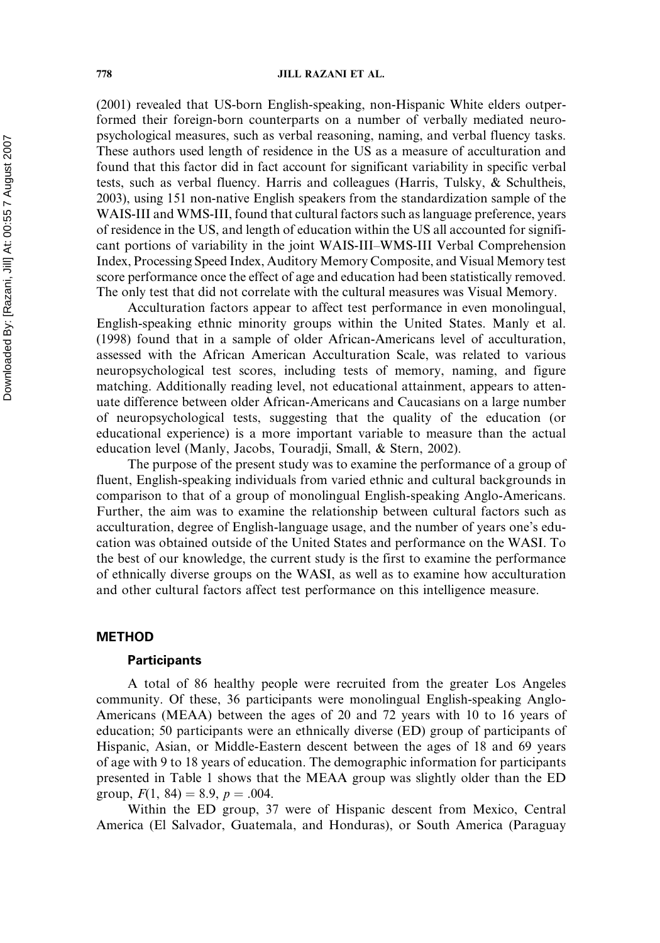(2001) revealed that US-born English-speaking, non-Hispanic White elders outperformed their foreign-born counterparts on a number of verbally mediated neuropsychological measures, such as verbal reasoning, naming, and verbal fluency tasks. These authors used length of residence in the US as a measure of acculturation and found that this factor did in fact account for significant variability in specific verbal tests, such as verbal fluency. Harris and colleagues (Harris, Tulsky, & Schultheis, 2003), using 151 non-native English speakers from the standardization sample of the WAIS-III and WMS-III, found that cultural factors such as language preference, years of residence in the US, and length of education within the US all accounted for significant portions of variability in the joint WAIS-III–WMS-III Verbal Comprehension Index, Processing Speed Index, Auditory Memory Composite, and Visual Memory test score performance once the effect of age and education had been statistically removed. The only test that did not correlate with the cultural measures was Visual Memory.

Acculturation factors appear to affect test performance in even monolingual, English-speaking ethnic minority groups within the United States. Manly et al. (1998) found that in a sample of older African-Americans level of acculturation, assessed with the African American Acculturation Scale, was related to various neuropsychological test scores, including tests of memory, naming, and figure matching. Additionally reading level, not educational attainment, appears to attenuate difference between older African-Americans and Caucasians on a large number of neuropsychological tests, suggesting that the quality of the education (or educational experience) is a more important variable to measure than the actual education level (Manly, Jacobs, Touradji, Small, & Stern, 2002).

The purpose of the present study was to examine the performance of a group of fluent, English-speaking individuals from varied ethnic and cultural backgrounds in comparison to that of a group of monolingual English-speaking Anglo-Americans. Further, the aim was to examine the relationship between cultural factors such as acculturation, degree of English-language usage, and the number of years one's education was obtained outside of the United States and performance on the WASI. To the best of our knowledge, the current study is the first to examine the performance of ethnically diverse groups on the WASI, as well as to examine how acculturation and other cultural factors affect test performance on this intelligence measure.

## METHOD

### **Participants**

A total of 86 healthy people were recruited from the greater Los Angeles community. Of these, 36 participants were monolingual English-speaking Anglo-Americans (MEAA) between the ages of 20 and 72 years with 10 to 16 years of education; 50 participants were an ethnically diverse (ED) group of participants of Hispanic, Asian, or Middle-Eastern descent between the ages of 18 and 69 years of age with 9 to 18 years of education. The demographic information for participants presented in Table 1 shows that the MEAA group was slightly older than the ED group,  $F(1, 84) = 8.9$ ,  $p = .004$ .

Within the ED group, 37 were of Hispanic descent from Mexico, Central America (El Salvador, Guatemala, and Honduras), or South America (Paraguay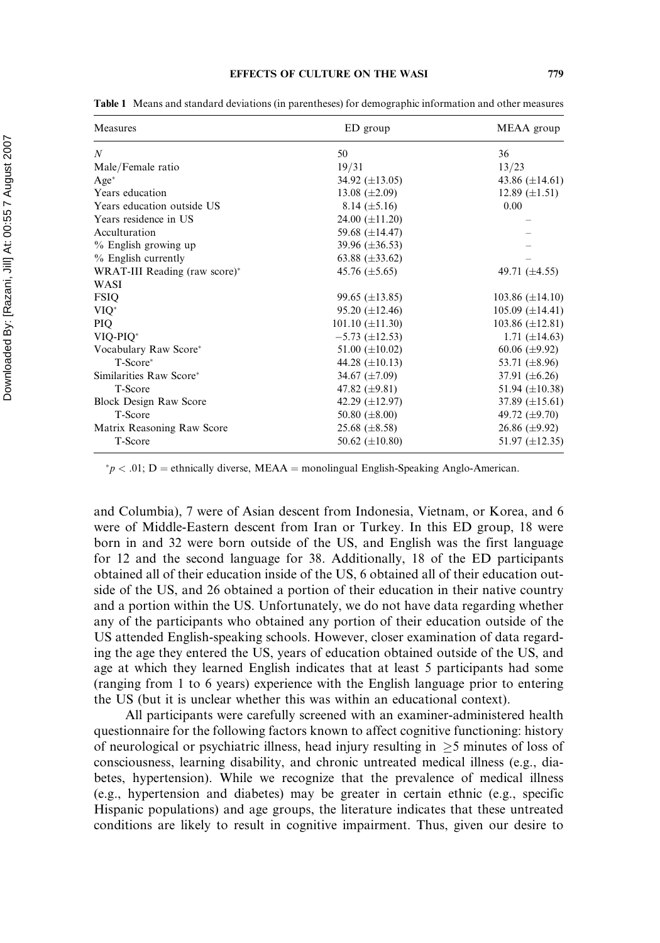#### EFFECTS OF CULTURE ON THE WASI 779

| Measures                      | ED group               | MEAA group             |  |
|-------------------------------|------------------------|------------------------|--|
| N                             | 50                     | 36                     |  |
| Male/Female ratio             | 19/31                  | 13/23                  |  |
| $Age*$                        | 34.92 $(\pm 13.05)$    | 43.86 $(\pm 14.61)$    |  |
| Years education               | 13.08 $(\pm 2.09)$     | 12.89 $(\pm 1.51)$     |  |
| Years education outside US    | $8.14 \ (\pm 5.16)$    | 0.00                   |  |
| Years residence in US         | 24.00 $(\pm 11.20)$    |                        |  |
| Acculturation                 | 59.68 $(\pm 14.47)$    |                        |  |
| % English growing up          | 39.96 $(\pm 36.53)$    |                        |  |
| % English currently           | 63.88 $(\pm 33.62)$    |                        |  |
| WRAT-III Reading (raw score)* | 45.76 $(\pm 5.65)$     | 49.71 (±4.55)          |  |
| WASI                          |                        |                        |  |
| <b>FSIO</b>                   | $99.65 \ (\pm 13.85)$  | 103.86 $(\pm 14.10)$   |  |
| $VIO^*$                       | $95.20 (\pm 12.46)$    | $105.09 \ (\pm 14.41)$ |  |
| <b>PIQ</b>                    | $101.10 \ (\pm 11.30)$ | 103.86 $(\pm 12.81)$   |  |
| VIQ-PIQ*                      | $-5.73 \ (\pm 12.53)$  | 1.71 $(\pm 14.63)$     |  |
| Vocabulary Raw Score*         | 51.00 $(\pm 10.02)$    | $60.06 (\pm 9.92)$     |  |
| T-Score*                      | 44.28 $(\pm 10.13)$    | 53.71 $(\pm 8.96)$     |  |
| Similarities Raw Score*       | 34.67 $(\pm 7.09)$     | 37.91 $(\pm 6.26)$     |  |
| T-Score                       | 47.82 $(\pm 9.81)$     | 51.94 $(\pm 10.38)$    |  |
| Block Design Raw Score        | 42.29 $(\pm 12.97)$    | 37.89 $(\pm 15.61)$    |  |
| T-Score                       | 50.80 $(\pm 8.00)$     | 49.72 $(\pm 9.70)$     |  |
| Matrix Reasoning Raw Score    | 25.68 $(\pm 8.58)$     | $26.86 \ (\pm 9.92)$   |  |
| T-Score                       | 50.62 $(\pm 10.80)$    | 51.97 $(\pm 12.35)$    |  |

Table 1 Means and standard deviations (in parentheses) for demographic information and other measures

 $p < .01$ ; D = ethnically diverse, MEAA = monolingual English-Speaking Anglo-American.

and Columbia), 7 were of Asian descent from Indonesia, Vietnam, or Korea, and 6 were of Middle-Eastern descent from Iran or Turkey. In this ED group, 18 were born in and 32 were born outside of the US, and English was the first language for 12 and the second language for 38. Additionally, 18 of the ED participants obtained all of their education inside of the US, 6 obtained all of their education outside of the US, and 26 obtained a portion of their education in their native country and a portion within the US. Unfortunately, we do not have data regarding whether any of the participants who obtained any portion of their education outside of the US attended English-speaking schools. However, closer examination of data regarding the age they entered the US, years of education obtained outside of the US, and age at which they learned English indicates that at least 5 participants had some (ranging from 1 to 6 years) experience with the English language prior to entering the US (but it is unclear whether this was within an educational context).

All participants were carefully screened with an examiner-administered health questionnaire for the following factors known to affect cognitive functioning: history of neurological or psychiatric illness, head injury resulting in  $\geq$ 5 minutes of loss of consciousness, learning disability, and chronic untreated medical illness (e.g., diabetes, hypertension). While we recognize that the prevalence of medical illness (e.g., hypertension and diabetes) may be greater in certain ethnic (e.g., specific Hispanic populations) and age groups, the literature indicates that these untreated conditions are likely to result in cognitive impairment. Thus, given our desire to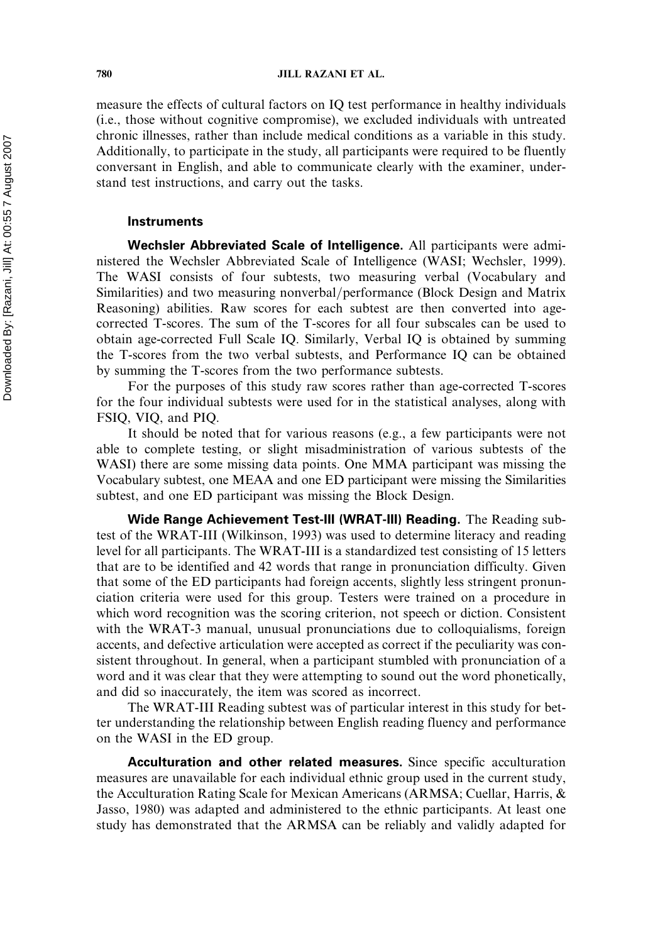measure the effects of cultural factors on IQ test performance in healthy individuals (i.e., those without cognitive compromise), we excluded individuals with untreated chronic illnesses, rather than include medical conditions as a variable in this study. Additionally, to participate in the study, all participants were required to be fluently conversant in English, and able to communicate clearly with the examiner, understand test instructions, and carry out the tasks.

### **Instruments**

Wechsler Abbreviated Scale of Intelligence. All participants were administered the Wechsler Abbreviated Scale of Intelligence (WASI; Wechsler, 1999). The WASI consists of four subtests, two measuring verbal (Vocabulary and Similarities) and two measuring nonverbal/performance (Block Design and Matrix Reasoning) abilities. Raw scores for each subtest are then converted into agecorrected T-scores. The sum of the T-scores for all four subscales can be used to obtain age-corrected Full Scale IQ. Similarly, Verbal IQ is obtained by summing the T-scores from the two verbal subtests, and Performance IQ can be obtained by summing the T-scores from the two performance subtests.

For the purposes of this study raw scores rather than age-corrected T-scores for the four individual subtests were used for in the statistical analyses, along with FSIQ, VIQ, and PIQ.

It should be noted that for various reasons (e.g., a few participants were not able to complete testing, or slight misadministration of various subtests of the WASI) there are some missing data points. One MMA participant was missing the Vocabulary subtest, one MEAA and one ED participant were missing the Similarities subtest, and one ED participant was missing the Block Design.

Wide Range Achievement Test-III (WRAT-III) Reading. The Reading subtest of the WRAT-III (Wilkinson, 1993) was used to determine literacy and reading level for all participants. The WRAT-III is a standardized test consisting of 15 letters that are to be identified and 42 words that range in pronunciation difficulty. Given that some of the ED participants had foreign accents, slightly less stringent pronunciation criteria were used for this group. Testers were trained on a procedure in which word recognition was the scoring criterion, not speech or diction. Consistent with the WRAT-3 manual, unusual pronunciations due to colloquialisms, foreign accents, and defective articulation were accepted as correct if the peculiarity was consistent throughout. In general, when a participant stumbled with pronunciation of a word and it was clear that they were attempting to sound out the word phonetically, and did so inaccurately, the item was scored as incorrect.

The WRAT-III Reading subtest was of particular interest in this study for better understanding the relationship between English reading fluency and performance on the WASI in the ED group.

Acculturation and other related measures. Since specific acculturation measures are unavailable for each individual ethnic group used in the current study, the Acculturation Rating Scale for Mexican Americans (ARMSA; Cuellar, Harris, & Jasso, 1980) was adapted and administered to the ethnic participants. At least one study has demonstrated that the ARMSA can be reliably and validly adapted for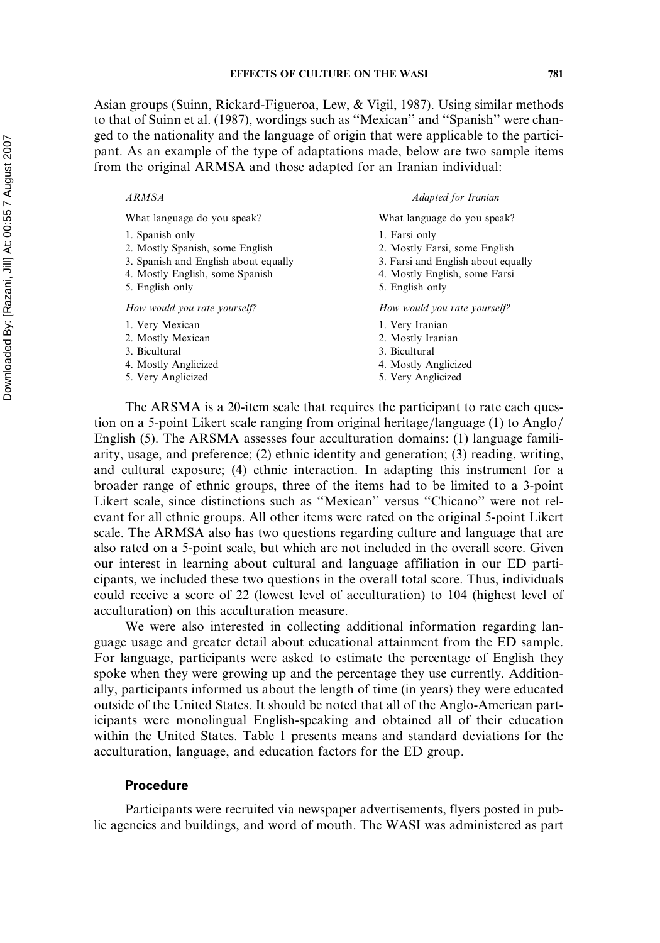Asian groups (Suinn, Rickard-Figueroa, Lew, & Vigil, 1987). Using similar methods to that of Suinn et al. (1987), wordings such as ''Mexican'' and ''Spanish'' were changed to the nationality and the language of origin that were applicable to the participant. As an example of the type of adaptations made, below are two sample items from the original ARMSA and those adapted for an Iranian individual:

| <i>ARMSA</i><br>Adapted for Iranian  |                                    |
|--------------------------------------|------------------------------------|
| What language do you speak?          | What language do you speak?        |
| 1. Spanish only                      | 1. Farsi only                      |
| 2. Mostly Spanish, some English      | 2. Mostly Farsi, some English      |
| 3. Spanish and English about equally | 3. Farsi and English about equally |
| 4. Mostly English, some Spanish      | 4. Mostly English, some Farsi      |
| 5. English only                      | 5. English only                    |
| How would you rate yourself?         | How would you rate yourself?       |
| 1. Very Mexican                      | 1. Very Iranian                    |
| 2. Mostly Mexican                    | 2. Mostly Iranian                  |
| 3. Bicultural                        | 3. Bicultural                      |
| 4. Mostly Anglicized                 | 4. Mostly Anglicized               |
| 5. Very Anglicized                   | 5. Very Anglicized                 |

The ARSMA is a 20-item scale that requires the participant to rate each question on a 5-point Likert scale ranging from original heritage/language (1) to Anglo/ English (5). The ARSMA assesses four acculturation domains: (1) language familiarity, usage, and preference; (2) ethnic identity and generation; (3) reading, writing, and cultural exposure; (4) ethnic interaction. In adapting this instrument for a broader range of ethnic groups, three of the items had to be limited to a 3-point Likert scale, since distinctions such as ''Mexican'' versus ''Chicano'' were not relevant for all ethnic groups. All other items were rated on the original 5-point Likert scale. The ARMSA also has two questions regarding culture and language that are also rated on a 5-point scale, but which are not included in the overall score. Given our interest in learning about cultural and language affiliation in our ED participants, we included these two questions in the overall total score. Thus, individuals could receive a score of 22 (lowest level of acculturation) to 104 (highest level of acculturation) on this acculturation measure.

We were also interested in collecting additional information regarding language usage and greater detail about educational attainment from the ED sample. For language, participants were asked to estimate the percentage of English they spoke when they were growing up and the percentage they use currently. Additionally, participants informed us about the length of time (in years) they were educated outside of the United States. It should be noted that all of the Anglo-American participants were monolingual English-speaking and obtained all of their education within the United States. Table 1 presents means and standard deviations for the acculturation, language, and education factors for the ED group.

# Procedure

Participants were recruited via newspaper advertisements, flyers posted in public agencies and buildings, and word of mouth. The WASI was administered as part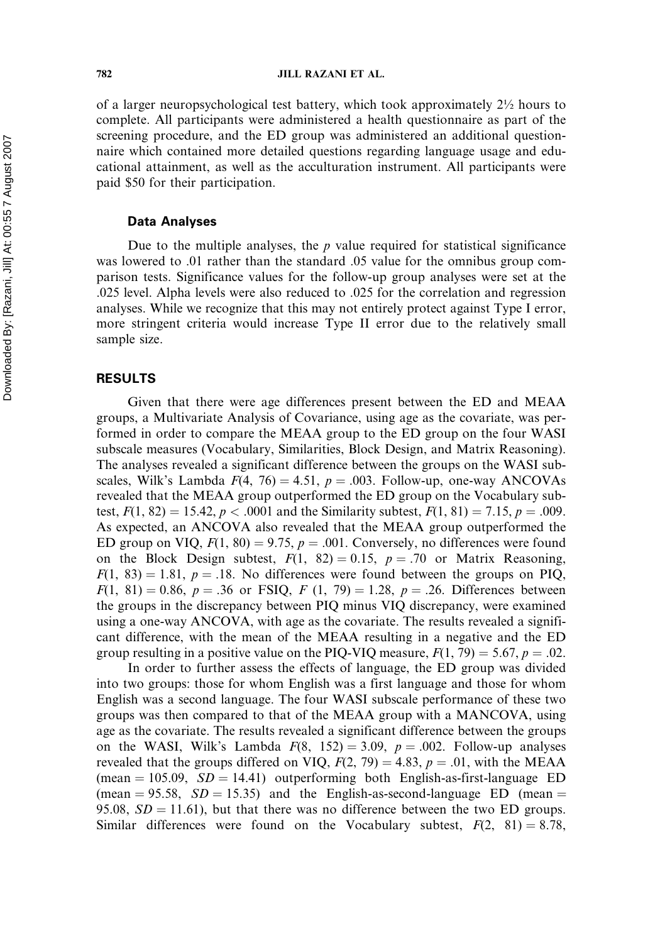of a larger neuropsychological test battery, which took approximately  $2\frac{1}{2}$  hours to complete. All participants were administered a health questionnaire as part of the screening procedure, and the ED group was administered an additional questionnaire which contained more detailed questions regarding language usage and educational attainment, as well as the acculturation instrument. All participants were paid \$50 for their participation.

# Data Analyses

Due to the multiple analyses, the  $p$  value required for statistical significance was lowered to .01 rather than the standard .05 value for the omnibus group comparison tests. Significance values for the follow-up group analyses were set at the .025 level. Alpha levels were also reduced to .025 for the correlation and regression analyses. While we recognize that this may not entirely protect against Type I error, more stringent criteria would increase Type II error due to the relatively small sample size.

# RESULTS

Given that there were age differences present between the ED and MEAA groups, a Multivariate Analysis of Covariance, using age as the covariate, was performed in order to compare the MEAA group to the ED group on the four WASI subscale measures (Vocabulary, Similarities, Block Design, and Matrix Reasoning). The analyses revealed a significant difference between the groups on the WASI subscales, Wilk's Lambda  $F(4, 76) = 4.51$ ,  $p = .003$ . Follow-up, one-way ANCOVAs revealed that the MEAA group outperformed the ED group on the Vocabulary subtest,  $F(1, 82) = 15.42$ ,  $p < .0001$  and the Similarity subtest,  $F(1, 81) = 7.15$ ,  $p = .009$ . As expected, an ANCOVA also revealed that the MEAA group outperformed the ED group on VIQ,  $F(1, 80) = 9.75$ ,  $p = .001$ . Conversely, no differences were found on the Block Design subtest,  $F(1, 82) = 0.15$ ,  $p = .70$  or Matrix Reasoning,  $F(1, 83) = 1.81$ ,  $p = .18$ . No differences were found between the groups on PIQ,  $F(1, 81) = 0.86$ ,  $p = .36$  or FSIQ,  $F(1, 79) = 1.28$ ,  $p = .26$ . Differences between the groups in the discrepancy between PIQ minus VIQ discrepancy, were examined using a one-way ANCOVA, with age as the covariate. The results revealed a significant difference, with the mean of the MEAA resulting in a negative and the ED group resulting in a positive value on the PIQ-VIQ measure,  $F(1, 79) = 5.67$ ,  $p = .02$ .

In order to further assess the effects of language, the ED group was divided into two groups: those for whom English was a first language and those for whom English was a second language. The four WASI subscale performance of these two groups was then compared to that of the MEAA group with a MANCOVA, using age as the covariate. The results revealed a significant difference between the groups on the WASI, Wilk's Lambda  $F(8, 152) = 3.09$ ,  $p = .002$ . Follow-up analyses revealed that the groups differed on VIQ,  $F(2, 79) = 4.83$ ,  $p = .01$ , with the MEAA (mean  $= 105.09$ ,  $SD = 14.41$ ) outperforming both English-as-first-language ED (mean  $= 95.58$ ,  $SD = 15.35$ ) and the English-as-second-language ED (mean  $=$ 95.08,  $SD = 11.61$ , but that there was no difference between the two ED groups. Similar differences were found on the Vocabulary subtest,  $F(2, 81) = 8.78$ ,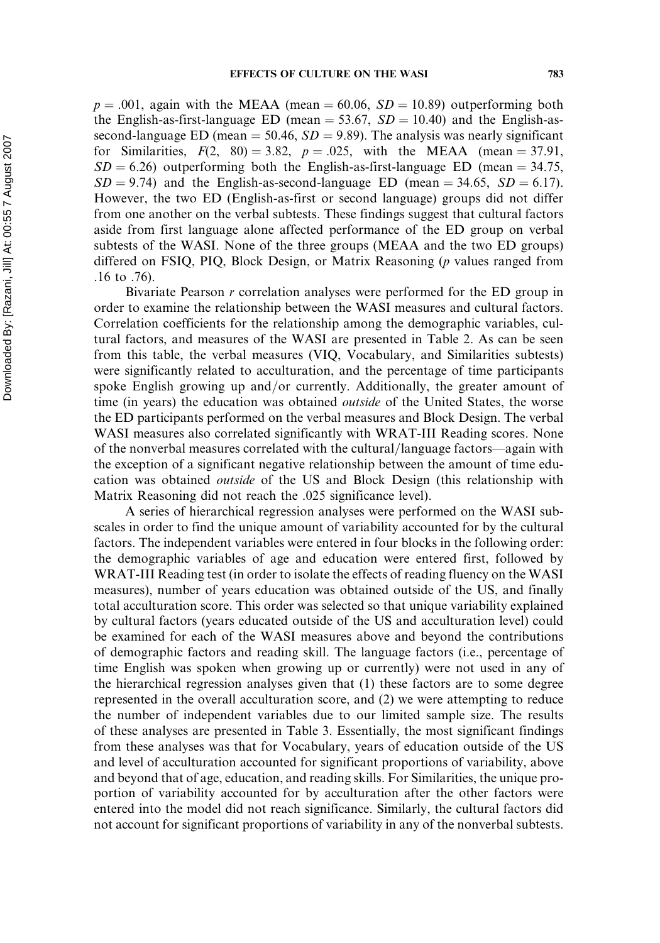$p = .001$ , again with the MEAA (mean = 60.06,  $SD = 10.89$ ) outperforming both the English-as-first-language ED (mean  $=$  53.67,  $SD = 10.40$ ) and the English-assecond-language ED (mean  $=$  50.46, *SD*  $=$  9.89). The analysis was nearly significant for Similarities,  $F(2, 80) = 3.82$ ,  $p = .025$ , with the MEAA (mean = 37.91,  $SD = 6.26$ ) outperforming both the English-as-first-language ED (mean = 34.75,  $SD = 9.74$ ) and the English-as-second-language ED (mean = 34.65,  $SD = 6.17$ ). However, the two ED (English-as-first or second language) groups did not differ from one another on the verbal subtests. These findings suggest that cultural factors aside from first language alone affected performance of the ED group on verbal subtests of the WASI. None of the three groups (MEAA and the two ED groups) differed on FSIQ, PIQ, Block Design, or Matrix Reasoning (p values ranged from .16 to .76).

Bivariate Pearson r correlation analyses were performed for the ED group in order to examine the relationship between the WASI measures and cultural factors. Correlation coefficients for the relationship among the demographic variables, cultural factors, and measures of the WASI are presented in Table 2. As can be seen from this table, the verbal measures (VIQ, Vocabulary, and Similarities subtests) were significantly related to acculturation, and the percentage of time participants spoke English growing up and/or currently. Additionally, the greater amount of time (in years) the education was obtained *outside* of the United States, the worse the ED participants performed on the verbal measures and Block Design. The verbal WASI measures also correlated significantly with WRAT-III Reading scores. None of the nonverbal measures correlated with the cultural/language factors—again with the exception of a significant negative relationship between the amount of time education was obtained outside of the US and Block Design (this relationship with Matrix Reasoning did not reach the .025 significance level).

A series of hierarchical regression analyses were performed on the WASI subscales in order to find the unique amount of variability accounted for by the cultural factors. The independent variables were entered in four blocks in the following order: the demographic variables of age and education were entered first, followed by WRAT-III Reading test (in order to isolate the effects of reading fluency on the WASI measures), number of years education was obtained outside of the US, and finally total acculturation score. This order was selected so that unique variability explained by cultural factors (years educated outside of the US and acculturation level) could be examined for each of the WASI measures above and beyond the contributions of demographic factors and reading skill. The language factors (i.e., percentage of time English was spoken when growing up or currently) were not used in any of the hierarchical regression analyses given that (1) these factors are to some degree represented in the overall acculturation score, and (2) we were attempting to reduce the number of independent variables due to our limited sample size. The results of these analyses are presented in Table 3. Essentially, the most significant findings from these analyses was that for Vocabulary, years of education outside of the US and level of acculturation accounted for significant proportions of variability, above and beyond that of age, education, and reading skills. For Similarities, the unique proportion of variability accounted for by acculturation after the other factors were entered into the model did not reach significance. Similarly, the cultural factors did not account for significant proportions of variability in any of the nonverbal subtests.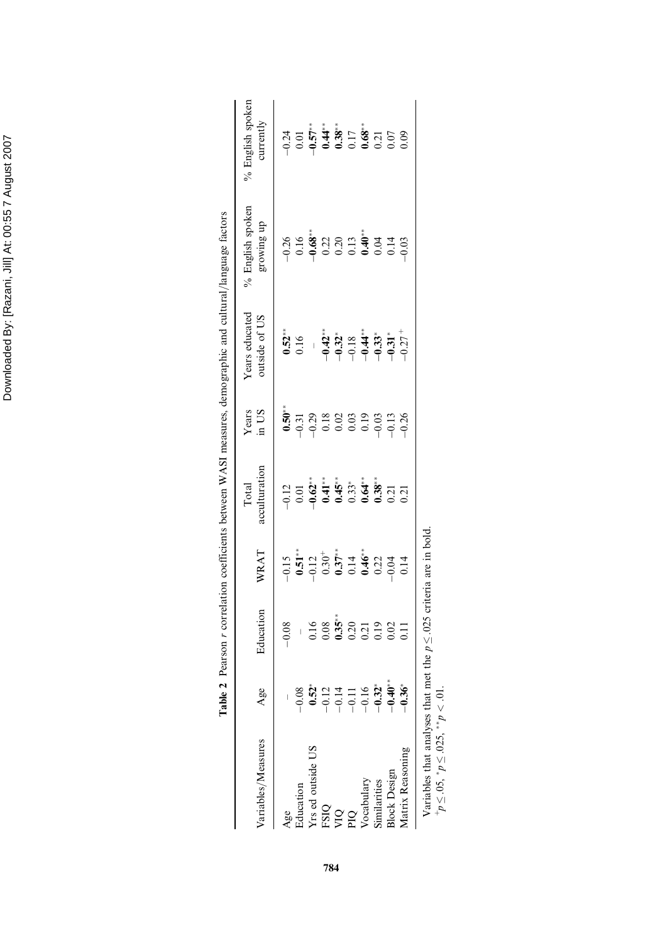| /ariables/Measures           | Age                    | Education                                   | WRAT                                                                                                       | acculturation<br>Total                                                                        | Years<br>in US                                                                                                                                                                                                                                                                                                                                                                      | lears educated<br>outside of US                                                                                                                                                                                                                                                                                                                                                                          | % English spoken<br>growing up                                                                    | % English spoken<br>currently |
|------------------------------|------------------------|---------------------------------------------|------------------------------------------------------------------------------------------------------------|-----------------------------------------------------------------------------------------------|-------------------------------------------------------------------------------------------------------------------------------------------------------------------------------------------------------------------------------------------------------------------------------------------------------------------------------------------------------------------------------------|----------------------------------------------------------------------------------------------------------------------------------------------------------------------------------------------------------------------------------------------------------------------------------------------------------------------------------------------------------------------------------------------------------|---------------------------------------------------------------------------------------------------|-------------------------------|
| Age                          |                        |                                             |                                                                                                            |                                                                                               |                                                                                                                                                                                                                                                                                                                                                                                     |                                                                                                                                                                                                                                                                                                                                                                                                          |                                                                                                   |                               |
| ducation                     | $-0.08$                |                                             |                                                                                                            |                                                                                               |                                                                                                                                                                                                                                                                                                                                                                                     |                                                                                                                                                                                                                                                                                                                                                                                                          |                                                                                                   |                               |
| Its ed outside US            | 0.52                   |                                             |                                                                                                            |                                                                                               |                                                                                                                                                                                                                                                                                                                                                                                     |                                                                                                                                                                                                                                                                                                                                                                                                          |                                                                                                   |                               |
| FSIQ                         | $-0.12$                |                                             |                                                                                                            |                                                                                               |                                                                                                                                                                                                                                                                                                                                                                                     |                                                                                                                                                                                                                                                                                                                                                                                                          |                                                                                                   |                               |
| $\overline{Q}$               | $-0.14$                |                                             |                                                                                                            |                                                                                               |                                                                                                                                                                                                                                                                                                                                                                                     |                                                                                                                                                                                                                                                                                                                                                                                                          |                                                                                                   |                               |
| $\frac{1}{2}$                | $-0.11$                |                                             | $-0.15$<br>$-0.12$<br>$-0.30$<br>$-0.36$<br>$-0.36$<br>$-0.36$<br>$-0.36$<br>$-0.30$<br>$-0.14$<br>$-0.14$ | $-12$<br>$-0.01$<br>$-0.05$<br>$-0.05$<br>$-0.05$<br>$-0.05$<br>$-0.05$<br>$-0.01$<br>$-0.01$ | $\overset{*}{\bullet}$ = $\overset{*}{\bullet}$ = $\overset{*}{\circ}$ = $\overset{3}{\circ}$ = $\overset{3}{\circ}$ = $\overset{3}{\circ}$ = $\overset{3}{\circ}$ = $\overset{3}{\circ}$ = $\overset{3}{\circ}$ = $\overset{3}{\circ}$ = $\overset{3}{\circ}$ = $\overset{3}{\circ}$ = $\overset{3}{\circ}$ = $\overset{3}{\circ}$ = $\overset{3}{\circ}$ = $\overset{4}{\circ}$ = | $\overset{*}{\phantom{2}}\phantom{1}0.5$<br>$\overset{*}{\phantom{2}}\phantom{1}0.5$<br>$\overset{*}{\phantom{2}}\phantom{1}0.5$<br>$\overset{*}{\phantom{2}}\phantom{1}0.3$<br>$\overset{*}{\phantom{2}}\phantom{1}0.3$<br>$\overset{*}{\phantom{2}}\phantom{1}0.3$<br>$\overset{*}{\phantom{2}}\phantom{1}0.3$<br>$\overset{*}{\phantom{2}}\phantom{1}0.3$<br>$\overset{*}{\phantom{2}}\phantom{1}0.3$ | $0.36$<br>$0.58$<br>$0.300$<br>$0.54$<br>$0.54$<br>$0.54$<br>$0.50$<br>$0.54$<br>$0.50$<br>$0.50$ |                               |
| /ocabulary                   | $-0.16$                |                                             |                                                                                                            |                                                                                               |                                                                                                                                                                                                                                                                                                                                                                                     |                                                                                                                                                                                                                                                                                                                                                                                                          |                                                                                                   |                               |
| similarities                 |                        |                                             |                                                                                                            |                                                                                               |                                                                                                                                                                                                                                                                                                                                                                                     |                                                                                                                                                                                                                                                                                                                                                                                                          |                                                                                                   |                               |
| <b>Block Design</b>          | $-0.32^*$<br>$-0.40^*$ |                                             |                                                                                                            |                                                                                               |                                                                                                                                                                                                                                                                                                                                                                                     |                                                                                                                                                                                                                                                                                                                                                                                                          |                                                                                                   |                               |
| Matrix Reasoning             | $-0.36*$               |                                             |                                                                                                            |                                                                                               |                                                                                                                                                                                                                                                                                                                                                                                     |                                                                                                                                                                                                                                                                                                                                                                                                          |                                                                                                   |                               |
| Variables that analyses that |                        | met the $p \leq 0.025$ criteria are in bold |                                                                                                            |                                                                                               |                                                                                                                                                                                                                                                                                                                                                                                     |                                                                                                                                                                                                                                                                                                                                                                                                          |                                                                                                   |                               |

| )<br>J                                |
|---------------------------------------|
| こうしゅ こうく くうく くうきょく                    |
| $\frac{1}{2}$                         |
| ١                                     |
| ֚֚֬<br>i and t                        |
|                                       |
|                                       |
|                                       |
| ;                                     |
| $\ddot{\phantom{0}}$<br>$-22222$<br>ļ |
| Table 2<br>ï                          |

 $^{\ast}p \leq .05, ^{\ast}$ 

 $p \leq .025, \; ^{**}p < .01.$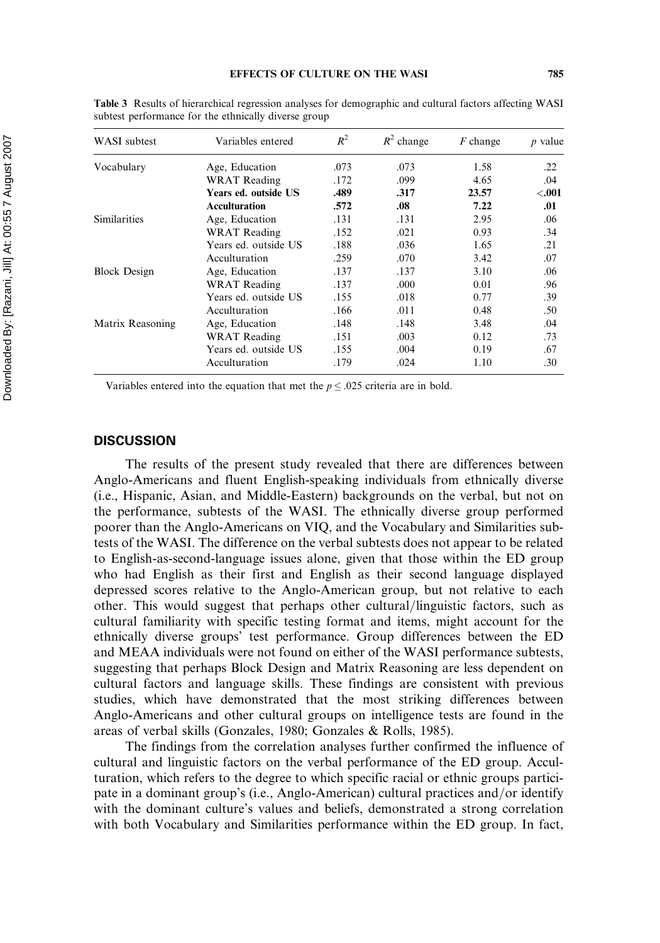| <b>WASI</b> subtest | Variables entered    | $R^2$ | $R^2$ change | $F$ change | <i>p</i> value |
|---------------------|----------------------|-------|--------------|------------|----------------|
| Vocabulary          | Age, Education       | .073  | .073         | 1.58       | .22            |
|                     | <b>WRAT</b> Reading  | .172  | .099         | 4.65       | .04            |
|                     | Years ed. outside US | .489  | .317         | 23.57      | < 0.01         |
|                     | <b>Acculturation</b> | .572  | .08          | 7.22       | .01            |
| Similarities        | Age, Education       | .131  | .131         | 2.95       | .06            |
|                     | WRAT Reading         | .152  | .021         | 0.93       | .34            |
|                     | Years ed. outside US | .188  | .036         | 1.65       | .21            |
|                     | Acculturation        | .259  | .070         | 3.42       | .07            |
| <b>Block Design</b> | Age, Education       | .137  | .137         | 3.10       | .06            |
|                     | WRAT Reading         | .137  | .000         | 0.01       | .96            |
|                     | Years ed. outside US | .155  | .018         | 0.77       | .39            |
|                     | Acculturation        | .166  | .011         | 0.48       | .50            |
| Matrix Reasoning    | Age, Education       | .148  | .148         | 3.48       | .04            |
|                     | <b>WRAT</b> Reading  | .151  | .003         | 0.12       | .73            |
|                     | Years ed. outside US | .155  | .004         | 0.19       | .67            |
|                     | Acculturation        | .179  | .024         | 1.10       | .30            |

Table 3 Results of hierarchical regression analyses for demographic and cultural factors affecting WASI subtest performance for the ethnically diverse group

Variables entered into the equation that met the  $p \le 0.025$  criteria are in bold.

# **DISCUSSION**

The results of the present study revealed that there are differences between Anglo-Americans and fluent English-speaking individuals from ethnically diverse (i.e., Hispanic, Asian, and Middle-Eastern) backgrounds on the verbal, but not on the performance, subtests of the WASI. The ethnically diverse group performed poorer than the Anglo-Americans on VIQ, and the Vocabulary and Similarities subtests of the WASI. The difference on the verbal subtests does not appear to be related to English-as-second-language issues alone, given that those within the ED group who had English as their first and English as their second language displayed depressed scores relative to the Anglo-American group, but not relative to each other. This would suggest that perhaps other cultural/linguistic factors, such as cultural familiarity with specific testing format and items, might account for the ethnically diverse groups' test performance. Group differences between the ED and MEAA individuals were not found on either of the WASI performance subtests, suggesting that perhaps Block Design and Matrix Reasoning are less dependent on cultural factors and language skills. These findings are consistent with previous studies, which have demonstrated that the most striking differences between Anglo-Americans and other cultural groups on intelligence tests are found in the areas of verbal skills (Gonzales, 1980; Gonzales & Rolls, 1985).

The findings from the correlation analyses further confirmed the influence of cultural and linguistic factors on the verbal performance of the ED group. Acculturation, which refers to the degree to which specific racial or ethnic groups participate in a dominant group's (i.e., Anglo-American) cultural practices and/or identify with the dominant culture's values and beliefs, demonstrated a strong correlation with both Vocabulary and Similarities performance within the ED group. In fact,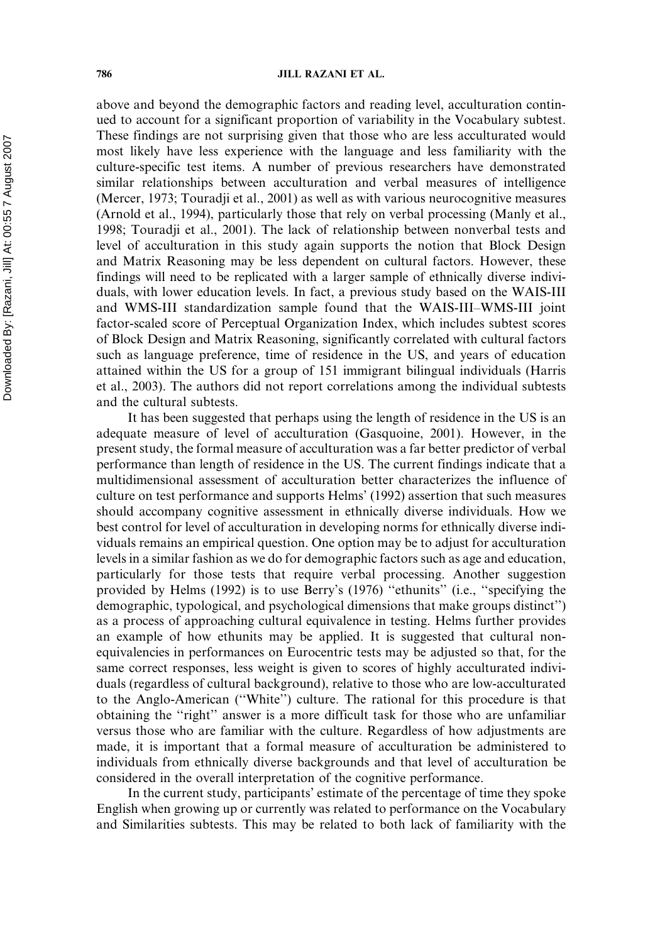#### 786 JILL RAZANI ET AL.

above and beyond the demographic factors and reading level, acculturation continued to account for a significant proportion of variability in the Vocabulary subtest. These findings are not surprising given that those who are less acculturated would most likely have less experience with the language and less familiarity with the culture-specific test items. A number of previous researchers have demonstrated similar relationships between acculturation and verbal measures of intelligence (Mercer, 1973; Touradji et al., 2001) as well as with various neurocognitive measures (Arnold et al., 1994), particularly those that rely on verbal processing (Manly et al., 1998; Touradji et al., 2001). The lack of relationship between nonverbal tests and level of acculturation in this study again supports the notion that Block Design and Matrix Reasoning may be less dependent on cultural factors. However, these findings will need to be replicated with a larger sample of ethnically diverse individuals, with lower education levels. In fact, a previous study based on the WAIS-III and WMS-III standardization sample found that the WAIS-III–WMS-III joint factor-scaled score of Perceptual Organization Index, which includes subtest scores of Block Design and Matrix Reasoning, significantly correlated with cultural factors such as language preference, time of residence in the US, and years of education attained within the US for a group of 151 immigrant bilingual individuals (Harris et al., 2003). The authors did not report correlations among the individual subtests and the cultural subtests.

It has been suggested that perhaps using the length of residence in the US is an adequate measure of level of acculturation (Gasquoine, 2001). However, in the present study, the formal measure of acculturation was a far better predictor of verbal performance than length of residence in the US. The current findings indicate that a multidimensional assessment of acculturation better characterizes the influence of culture on test performance and supports Helms' (1992) assertion that such measures should accompany cognitive assessment in ethnically diverse individuals. How we best control for level of acculturation in developing norms for ethnically diverse individuals remains an empirical question. One option may be to adjust for acculturation levels in a similar fashion as we do for demographic factors such as age and education, particularly for those tests that require verbal processing. Another suggestion provided by Helms (1992) is to use Berry's (1976) ''ethunits'' (i.e., ''specifying the demographic, typological, and psychological dimensions that make groups distinct'') as a process of approaching cultural equivalence in testing. Helms further provides an example of how ethunits may be applied. It is suggested that cultural nonequivalencies in performances on Eurocentric tests may be adjusted so that, for the same correct responses, less weight is given to scores of highly acculturated individuals (regardless of cultural background), relative to those who are low-acculturated to the Anglo-American (''White'') culture. The rational for this procedure is that obtaining the ''right'' answer is a more difficult task for those who are unfamiliar versus those who are familiar with the culture. Regardless of how adjustments are made, it is important that a formal measure of acculturation be administered to individuals from ethnically diverse backgrounds and that level of acculturation be considered in the overall interpretation of the cognitive performance.

In the current study, participants' estimate of the percentage of time they spoke English when growing up or currently was related to performance on the Vocabulary and Similarities subtests. This may be related to both lack of familiarity with the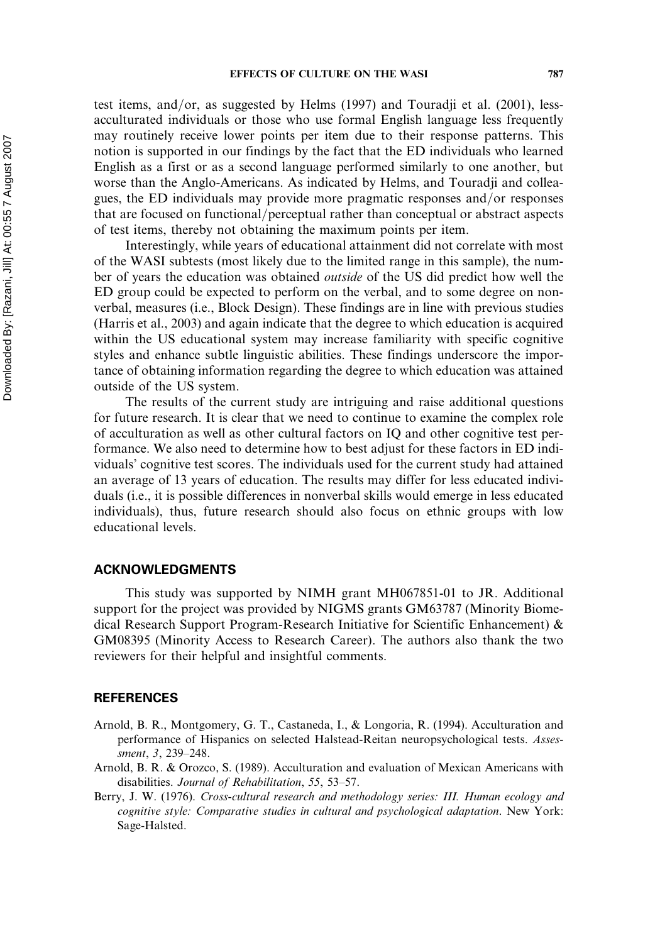test items, and/or, as suggested by Helms (1997) and Touradji et al. (2001), lessacculturated individuals or those who use formal English language less frequently may routinely receive lower points per item due to their response patterns. This notion is supported in our findings by the fact that the ED individuals who learned English as a first or as a second language performed similarly to one another, but worse than the Anglo-Americans. As indicated by Helms, and Touradji and colleagues, the ED individuals may provide more pragmatic responses and/or responses that are focused on functional/perceptual rather than conceptual or abstract aspects of test items, thereby not obtaining the maximum points per item.

Interestingly, while years of educational attainment did not correlate with most of the WASI subtests (most likely due to the limited range in this sample), the number of years the education was obtained outside of the US did predict how well the ED group could be expected to perform on the verbal, and to some degree on nonverbal, measures (i.e., Block Design). These findings are in line with previous studies (Harris et al., 2003) and again indicate that the degree to which education is acquired within the US educational system may increase familiarity with specific cognitive styles and enhance subtle linguistic abilities. These findings underscore the importance of obtaining information regarding the degree to which education was attained outside of the US system.

The results of the current study are intriguing and raise additional questions for future research. It is clear that we need to continue to examine the complex role of acculturation as well as other cultural factors on IQ and other cognitive test performance. We also need to determine how to best adjust for these factors in ED individuals' cognitive test scores. The individuals used for the current study had attained an average of 13 years of education. The results may differ for less educated individuals (i.e., it is possible differences in nonverbal skills would emerge in less educated individuals), thus, future research should also focus on ethnic groups with low educational levels.

#### ACKNOWLEDGMENTS

This study was supported by NIMH grant MH067851-01 to JR. Additional support for the project was provided by NIGMS grants GM63787 (Minority Biomedical Research Support Program-Research Initiative for Scientific Enhancement) & GM08395 (Minority Access to Research Career). The authors also thank the two reviewers for their helpful and insightful comments.

# **REFERENCES**

- Arnold, B. R., Montgomery, G. T., Castaneda, I., & Longoria, R. (1994). Acculturation and performance of Hispanics on selected Halstead-Reitan neuropsychological tests. Assessment, 3, 239–248.
- Arnold, B. R. & Orozco, S. (1989). Acculturation and evaluation of Mexican Americans with disabilities. Journal of Rehabilitation, 55, 53–57.
- Berry, J. W. (1976). Cross-cultural research and methodology series: III. Human ecology and cognitive style: Comparative studies in cultural and psychological adaptation. New York: Sage-Halsted.